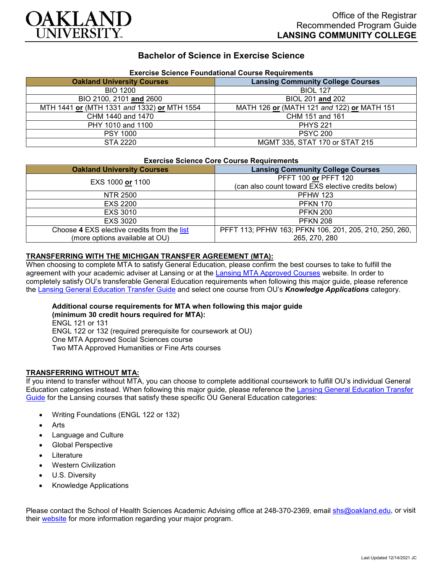

# **Bachelor of Science in Exercise Science**

| <b>EXERCISE SCIENCE FOUNDATIONAL COUPSE REQUIPENENTS</b> |                                            |
|----------------------------------------------------------|--------------------------------------------|
| <b>Oakland University Courses</b>                        | <b>Lansing Community College Courses</b>   |
| <b>BIO 1200</b>                                          | <b>BIOL 127</b>                            |
| BIO 2100, 2101 and 2600                                  | BIOL 201 and 202                           |
| MTH 1441 or (MTH 1331 and 1332) or MTH 1554              | MATH 126 or (MATH 121 and 122) or MATH 151 |
| CHM 1440 and 1470                                        | CHM 151 and 161                            |
| PHY 1010 and 1100                                        | <b>PHYS 221</b>                            |
| <b>PSY 1000</b>                                          | <b>PSYC 200</b>                            |
| STA 2220                                                 | MGMT 335, STAT 170 or STAT 215             |

# **Exercise Science Foundational Course Requirements**

#### **Exercise Science Core Course Requirements**

| <b>Oakland University Courses</b>           | <b>Lansing Community College Courses</b>               |
|---------------------------------------------|--------------------------------------------------------|
| EXS 1000 or 1100                            | PFFT 100 or PFFT 120                                   |
|                                             | (can also count toward EXS elective credits below)     |
| NTR 2500                                    | <b>PFHW 123</b>                                        |
| <b>EXS 2200</b>                             | <b>PFKN 170</b>                                        |
| <b>EXS 3010</b>                             | <b>PFKN 200</b>                                        |
| <b>EXS 3020</b>                             | <b>PFKN 208</b>                                        |
| Choose 4 EXS elective credits from the list | PFFT 113; PFHW 163; PFKN 106, 201, 205, 210, 250, 260, |
| (more options available at OU)              | 265, 270, 280                                          |

## **TRANSFERRING WITH THE MICHIGAN TRANSFER AGREEMENT (MTA):**

When choosing to complete MTA to satisfy General Education, please confirm the best courses to take to fulfill the agreement with your academic adviser at Lansing or at the [Lansing MTA Approved Courses](https://www.lcc.edu/academics/transfer/mta.html) website. In order to completely satisfy OU's transferable General Education requirements when following this major guide, please reference the [Lansing General Education Transfer Guide](https://www.oakland.edu/Assets/Oakland/program-guides/lansing-community-college/university-general-education-requirements/Lansing%20Gen%20Ed.pdf) and select one course from OU's *Knowledge Applications* category.

#### **Additional course requirements for MTA when following this major guide (minimum 30 credit hours required for MTA):**

ENGL 121 or 131 ENGL 122 or 132 (required prerequisite for coursework at OU) One MTA Approved Social Sciences course Two MTA Approved Humanities or Fine Arts courses

### **TRANSFERRING WITHOUT MTA:**

If you intend to transfer without MTA, you can choose to complete additional coursework to fulfill OU's individual General Education categories instead. When following this major guide, please reference the [Lansing General Education Transfer](https://www.oakland.edu/Assets/Oakland/program-guides/lansing-community-college/university-general-education-requirements/Lansing%20Gen%20Ed.pdf)  [Guide](https://www.oakland.edu/Assets/Oakland/program-guides/lansing-community-college/university-general-education-requirements/Lansing%20Gen%20Ed.pdf) for the Lansing courses that satisfy these specific OU General Education categories:

- Writing Foundations (ENGL 122 or 132)
- **Arts**
- Language and Culture
- Global Perspective
- **Literature**
- **Western Civilization**
- U.S. Diversity
- Knowledge Applications

Please contact the School of Health Sciences Academic Advising office at 248-370-2369, email [shs@oakland.edu,](mailto:shs@oakland.edu) or visit their [website](http://www.oakland.edu/shs/advising) for more information regarding your major program.